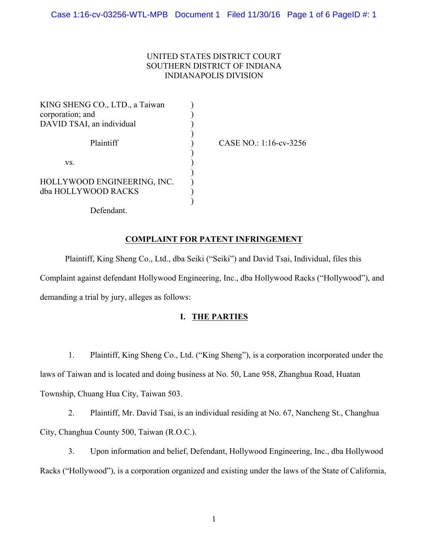# UNITED STATES DISTRICT COURT SOUTHERN DISTRICT OF INDIANA INDIANAPOLIS DIVISION

KING SHENG CO., LTD., a Taiwan corporation; and DAVID TSAI, an individual Plaintiff vs. HOLLYWOOD ENGINEERING, INC. dba HOLLYWOOD RACKS ) ) ) ) ) ) ) ) ) ) )

CASE NO.: 1:16-cv-3256

Defendant.

## **COMPLAINT FOR PATENT INFRINGEMENT**

Plaintiff, King Sheng Co., Ltd., dba Seiki ("Seiki") and David Tsai, Individual, files this Complaint against defendant Hollywood Engineering, Inc., dba Hollywood Racks ("Hollywood"), and demanding a trial by jury, alleges as follows:

# **I. THE PARTIES**

1. Plaintiff, King Sheng Co., Ltd. ("King Sheng"), is a corporation incorporated under the laws of Taiwan and is located and doing business at No. 50, Lane 958, Zhanghua Road, Huatan Township, Chuang Hua City, Taiwan 503.

2. Plaintiff, Mr. David Tsai, is an individual residing at No. 67, Nancheng St., Changhua City, Changhua County 500, Taiwan (R.O.C.).

3. Upon information and belief, Defendant, Hollywood Engineering, Inc., dba Hollywood Racks ("Hollywood"), is a corporation organized and existing under the laws of the State of California,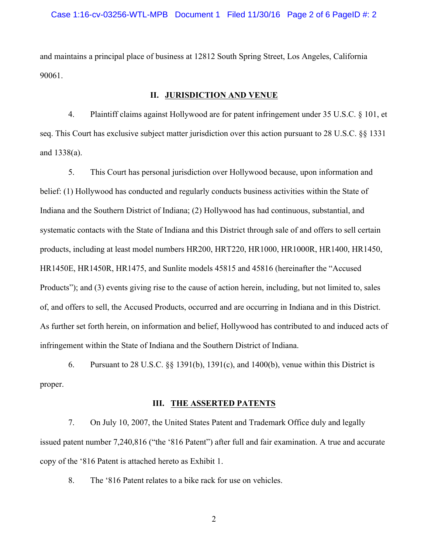and maintains a principal place of business at 12812 South Spring Street, Los Angeles, California 90061.

#### **II. JURISDICTION AND VENUE**

4. Plaintiff claims against Hollywood are for patent infringement under 35 U.S.C. § 101, et seq. This Court has exclusive subject matter jurisdiction over this action pursuant to 28 U.S.C. §§ 1331 and 1338(a).

5. This Court has personal jurisdiction over Hollywood because, upon information and belief: (1) Hollywood has conducted and regularly conducts business activities within the State of Indiana and the Southern District of Indiana; (2) Hollywood has had continuous, substantial, and systematic contacts with the State of Indiana and this District through sale of and offers to sell certain products, including at least model numbers HR200, HRT220, HR1000, HR1000R, HR1400, HR1450, HR1450E, HR1450R, HR1475, and Sunlite models 45815 and 45816 (hereinafter the "Accused Products"); and (3) events giving rise to the cause of action herein, including, but not limited to, sales of, and offers to sell, the Accused Products, occurred and are occurring in Indiana and in this District. As further set forth herein, on information and belief, Hollywood has contributed to and induced acts of infringement within the State of Indiana and the Southern District of Indiana.

6. Pursuant to 28 U.S.C. §§ 1391(b), 1391(c), and 1400(b), venue within this District is proper.

## **III. THE ASSERTED PATENTS**

7. On July 10, 2007, the United States Patent and Trademark Office duly and legally issued patent number 7,240,816 ("the '816 Patent") after full and fair examination. A true and accurate copy of the '816 Patent is attached hereto as Exhibit 1.

8. The '816 Patent relates to a bike rack for use on vehicles.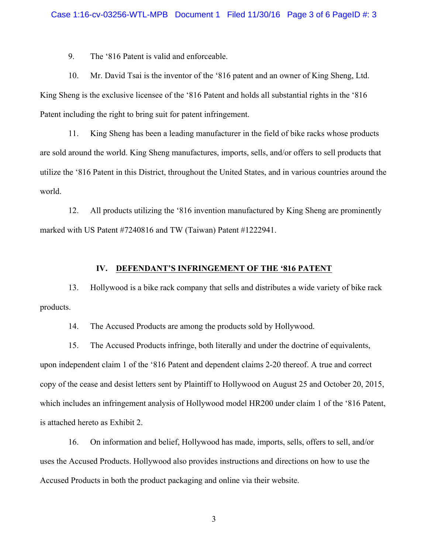9. The '816 Patent is valid and enforceable.

10. Mr. David Tsai is the inventor of the '816 patent and an owner of King Sheng, Ltd. King Sheng is the exclusive licensee of the '816 Patent and holds all substantial rights in the '816 Patent including the right to bring suit for patent infringement.

11. King Sheng has been a leading manufacturer in the field of bike racks whose products are sold around the world. King Sheng manufactures, imports, sells, and/or offers to sell products that utilize the '816 Patent in this District, throughout the United States, and in various countries around the world.

12. All products utilizing the '816 invention manufactured by King Sheng are prominently marked with US Patent #7240816 and TW (Taiwan) Patent #1222941.

## **IV. DEFENDANT'S INFRINGEMENT OF THE '816 PATENT**

13. Hollywood is a bike rack company that sells and distributes a wide variety of bike rack products.

14. The Accused Products are among the products sold by Hollywood.

15. The Accused Products infringe, both literally and under the doctrine of equivalents, upon independent claim 1 of the '816 Patent and dependent claims 2-20 thereof. A true and correct copy of the cease and desist letters sent by Plaintiff to Hollywood on August 25 and October 20, 2015, which includes an infringement analysis of Hollywood model HR200 under claim 1 of the '816 Patent, is attached hereto as Exhibit 2.

16. On information and belief, Hollywood has made, imports, sells, offers to sell, and/or uses the Accused Products. Hollywood also provides instructions and directions on how to use the Accused Products in both the product packaging and online via their website.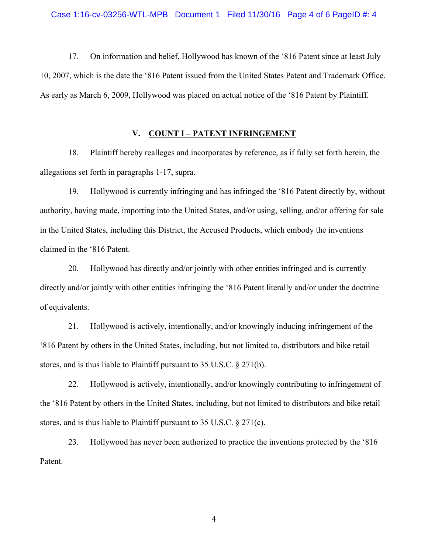17. On information and belief, Hollywood has known of the '816 Patent since at least July 10, 2007, which is the date the '816 Patent issued from the United States Patent and Trademark Office. As early as March 6, 2009, Hollywood was placed on actual notice of the '816 Patent by Plaintiff.

#### **V. COUNT I – PATENT INFRINGEMENT**

18. Plaintiff hereby realleges and incorporates by reference, as if fully set forth herein, the allegations set forth in paragraphs 1-17, supra.

19. Hollywood is currently infringing and has infringed the '816 Patent directly by, without authority, having made, importing into the United States, and/or using, selling, and/or offering for sale in the United States, including this District, the Accused Products, which embody the inventions claimed in the '816 Patent.

20. Hollywood has directly and/or jointly with other entities infringed and is currently directly and/or jointly with other entities infringing the '816 Patent literally and/or under the doctrine of equivalents.

21. Hollywood is actively, intentionally, and/or knowingly inducing infringement of the '816 Patent by others in the United States, including, but not limited to, distributors and bike retail stores, and is thus liable to Plaintiff pursuant to 35 U.S.C. § 271(b).

22. Hollywood is actively, intentionally, and/or knowingly contributing to infringement of the '816 Patent by others in the United States, including, but not limited to distributors and bike retail stores, and is thus liable to Plaintiff pursuant to 35 U.S.C. § 271(c).

23. Hollywood has never been authorized to practice the inventions protected by the '816 Patent.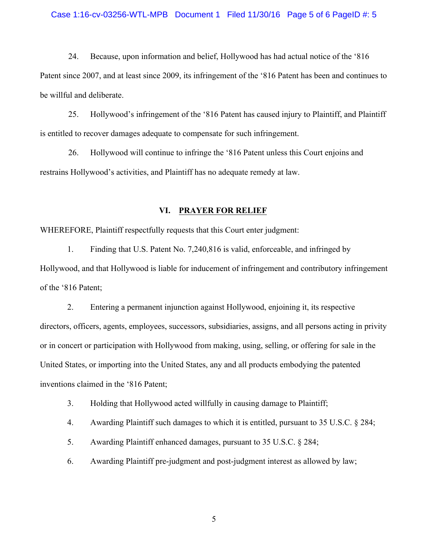24. Because, upon information and belief, Hollywood has had actual notice of the '816 Patent since 2007, and at least since 2009, its infringement of the '816 Patent has been and continues to be willful and deliberate.

25. Hollywood's infringement of the '816 Patent has caused injury to Plaintiff, and Plaintiff is entitled to recover damages adequate to compensate for such infringement.

26. Hollywood will continue to infringe the '816 Patent unless this Court enjoins and restrains Hollywood's activities, and Plaintiff has no adequate remedy at law.

#### **VI. PRAYER FOR RELIEF**

WHEREFORE, Plaintiff respectfully requests that this Court enter judgment:

1. Finding that U.S. Patent No. 7,240,816 is valid, enforceable, and infringed by Hollywood, and that Hollywood is liable for inducement of infringement and contributory infringement of the '816 Patent;

2. Entering a permanent injunction against Hollywood, enjoining it, its respective directors, officers, agents, employees, successors, subsidiaries, assigns, and all persons acting in privity or in concert or participation with Hollywood from making, using, selling, or offering for sale in the United States, or importing into the United States, any and all products embodying the patented inventions claimed in the '816 Patent;

3. Holding that Hollywood acted willfully in causing damage to Plaintiff;

4. Awarding Plaintiff such damages to which it is entitled, pursuant to 35 U.S.C. § 284;

5. Awarding Plaintiff enhanced damages, pursuant to 35 U.S.C. § 284;

6. Awarding Plaintiff pre-judgment and post-judgment interest as allowed by law;